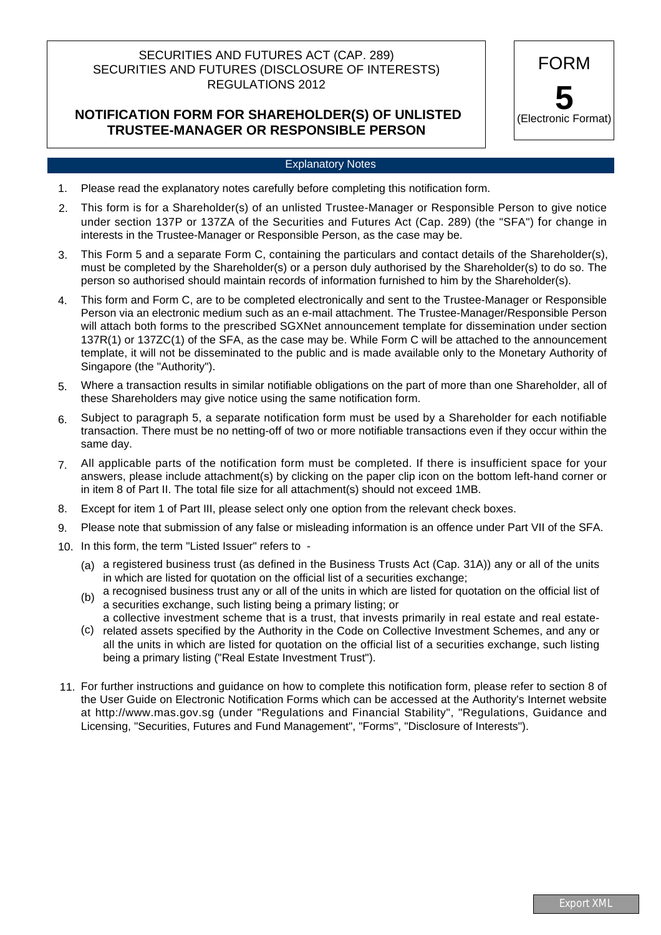### SECURITIES AND FUTURES ACT (CAP. 289) SECURITIES AND FUTURES (DISCLOSURE OF INTERESTS) REGULATIONS 2012

## **NOTIFICATION FORM FOR SHAREHOLDER(S) OF UNLISTED TRUSTEE-MANAGER OR RESPONSIBLE PERSON**

FORM **5** (Electronic Format)

#### Explanatory Notes

- Please read the explanatory notes carefully before completing this notification form. 1.
- This form is for a Shareholder(s) of an unlisted Trustee-Manager or Responsible Person to give notice under section 137P or 137ZA of the Securities and Futures Act (Cap. 289) (the "SFA") for change in interests in the Trustee-Manager or Responsible Person, as the case may be. 2.
- This Form 5 and a separate Form C, containing the particulars and contact details of the Shareholder(s), must be completed by the Shareholder(s) or a person duly authorised by the Shareholder(s) to do so. The person so authorised should maintain records of information furnished to him by the Shareholder(s). 3.
- This form and Form C, are to be completed electronically and sent to the Trustee-Manager or Responsible Person via an electronic medium such as an e-mail attachment. The Trustee-Manager/Responsible Person will attach both forms to the prescribed SGXNet announcement template for dissemination under section 137R(1) or 137ZC(1) of the SFA, as the case may be. While Form C will be attached to the announcement template, it will not be disseminated to the public and is made available only to the Monetary Authority of Singapore (the "Authority"). 4.
- Where a transaction results in similar notifiable obligations on the part of more than one Shareholder, all of these Shareholders may give notice using the same notification form. 5.
- Subject to paragraph 5, a separate notification form must be used by a Shareholder for each notifiable transaction. There must be no netting-off of two or more notifiable transactions even if they occur within the same day. 6.
- All applicable parts of the notification form must be completed. If there is insufficient space for your answers, please include attachment(s) by clicking on the paper clip icon on the bottom left-hand corner or in item 8 of Part II. The total file size for all attachment(s) should not exceed 1MB. 7.
- Except for item 1 of Part III, please select only one option from the relevant check boxes. 8.
- Please note that submission of any false or misleading information is an offence under Part VII of the SFA. 9.
- 10. In this form, the term "Listed Issuer" refers to -
	- (a) a registered business trust (as defined in the Business Trusts Act (Cap. 31A)) any or all of the units in which are listed for quotation on the official list of a securities exchange;
	- (b) a recognised business trust any or all of the units in which are listed for quotation on the official list of a securities exchange, such listing being a primary listing; or
	- (c) related assets specified by the Authority in the Code on Collective Investment Schemes, and any or a collective investment scheme that is a trust, that invests primarily in real estate and real estateall the units in which are listed for quotation on the official list of a securities exchange, such listing being a primary listing ("Real Estate Investment Trust").
- 11. For further instructions and guidance on how to complete this notification form, please refer to section 8 of the User Guide on Electronic Notification Forms which can be accessed at the Authority's Internet website at http://www.mas.gov.sg (under "Regulations and Financial Stability", "Regulations, Guidance and Licensing, "Securities, Futures and Fund Management", "Forms", "Disclosure of Interests").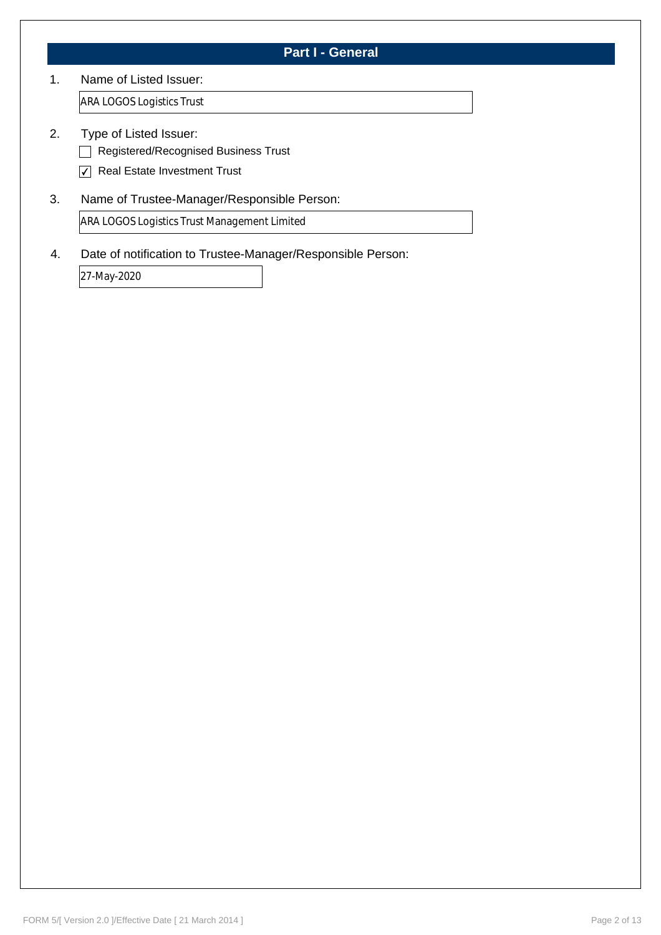## **Part I - General**

#### 1. Name of Listed Issuer:

ARA LOGOS Logistics Trust

- 2. Type of Listed Issuer:
	- Registered/Recognised Business Trust
	- $\nabla$  Real Estate Investment Trust
- 3. Name of Trustee-Manager/Responsible Person:

ARA LOGOS Logistics Trust Management Limited

4. Date of notification to Trustee-Manager/Responsible Person:

27-May-2020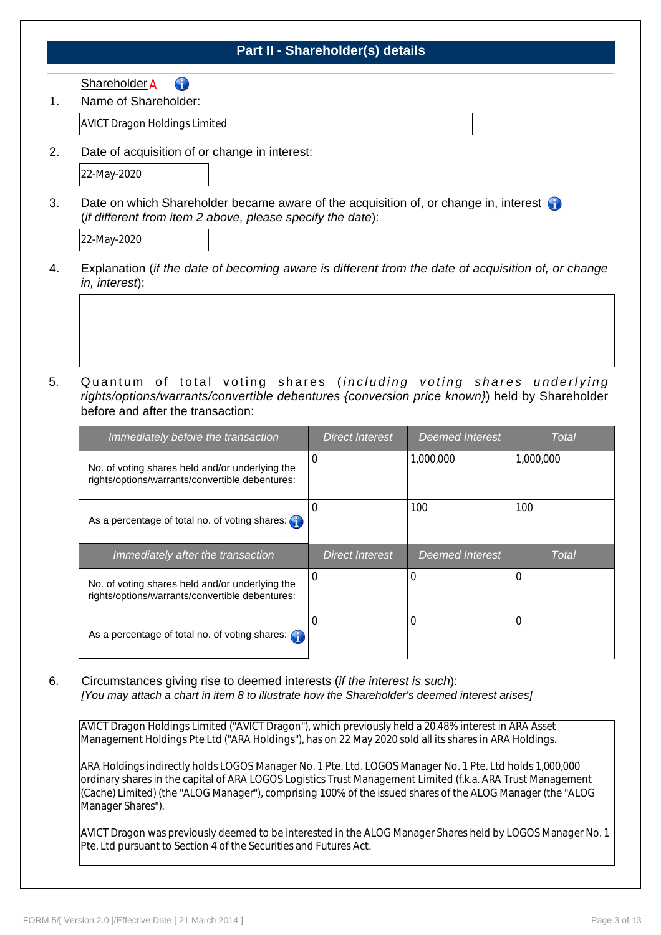## **Part II - Shareholder(s) details**

6 <u>Shareholder</u> A

Name of Shareholder: 1.

AVICT Dragon Holdings Limited

2. Date of acquisition of or change in interest:



3. Date on which Shareholder became aware of the acquisition of, or change in, interest (*if different from item 2 above, please specify the date*):

- Explanation (*if the date of becoming aware is different from the date of acquisition of, or change in, interest*): 4.
- Quantum of total voting shares (*including voting shares underlying rights/options/warrants/convertible debentures {conversion price known}*) held by Shareholder before and after the transaction: 5.

| Immediately before the transaction                                                                 | <b>Direct Interest</b> | <b>Deemed Interest</b> | Total     |
|----------------------------------------------------------------------------------------------------|------------------------|------------------------|-----------|
| No. of voting shares held and/or underlying the<br>rights/options/warrants/convertible debentures: | $\Omega$               | 1,000,000              | 1,000,000 |
| As a percentage of total no. of voting shares: $\binom{3}{1}$                                      | 0                      | 100                    | 100       |
|                                                                                                    |                        |                        |           |
| Immediately after the transaction                                                                  | <b>Direct Interest</b> | <b>Deemed Interest</b> | Total     |
| No. of voting shares held and/or underlying the<br>rights/options/warrants/convertible debentures: | $\Omega$               | 0                      | 0         |

Circumstances giving rise to deemed interests (*if the interest is such*): *[You may attach a chart in item 8 to illustrate how the Shareholder's deemed interest arises]* 6.

AVICT Dragon Holdings Limited ("AVICT Dragon"), which previously held a 20.48% interest in ARA Asset Management Holdings Pte Ltd ("ARA Holdings"), has on 22 May 2020 sold all its shares in ARA Holdings.

ARA Holdings indirectly holds LOGOS Manager No. 1 Pte. Ltd. LOGOS Manager No. 1 Pte. Ltd holds 1,000,000 ordinary shares in the capital of ARA LOGOS Logistics Trust Management Limited (f.k.a. ARA Trust Management (Cache) Limited) (the "ALOG Manager"), comprising 100% of the issued shares of the ALOG Manager (the "ALOG Manager Shares").

AVICT Dragon was previously deemed to be interested in the ALOG Manager Shares held by LOGOS Manager No. 1 Pte. Ltd pursuant to Section 4 of the Securities and Futures Act.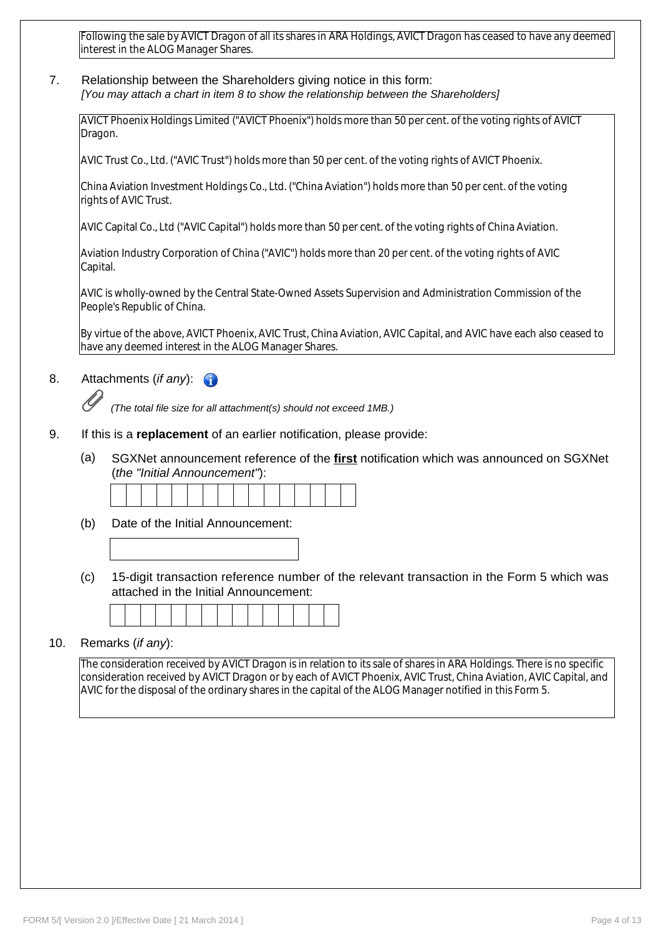Following the sale by AVICT Dragon of all its shares in ARA Holdings, AVICT Dragon has ceased to have any deemed interest in the ALOG Manager Shares.

7. Relationship between the Shareholders giving notice in this form: *[You may attach a chart in item 8 to show the relationship between the Shareholders]*

AVICT Phoenix Holdings Limited ("AVICT Phoenix") holds more than 50 per cent. of the voting rights of AVICT Dragon.

AVIC Trust Co., Ltd. ("AVIC Trust") holds more than 50 per cent. of the voting rights of AVICT Phoenix.

China Aviation Investment Holdings Co., Ltd. ("China Aviation") holds more than 50 per cent. of the voting rights of AVIC Trust.

AVIC Capital Co., Ltd ("AVIC Capital") holds more than 50 per cent. of the voting rights of China Aviation.

Aviation Industry Corporation of China ("AVIC") holds more than 20 per cent. of the voting rights of AVIC Capital.

AVIC is wholly-owned by the Central State-Owned Assets Supervision and Administration Commission of the People's Republic of China.

By virtue of the above, AVICT Phoenix, AVIC Trust, China Aviation, AVIC Capital, and AVIC have each also ceased to have any deemed interest in the ALOG Manager Shares.

#### 8. Attachments (*if any*):

*(The total file size for all attachment(s) should not exceed 1MB.)*

- 9. If this is a **replacement** of an earlier notification, please provide:
	- SGXNet announcement reference of the **first** notification which was announced on SGXNet (*the "Initial Announcement"*): (a)

- (b) Date of the Initial Announcement:
- (c) 15-digit transaction reference number of the relevant transaction in the Form 5 which was attached in the Initial Announcement:

#### 10. Remarks (*if any*):

The consideration received by AVICT Dragon is in relation to its sale of shares in ARA Holdings. There is no specific consideration received by AVICT Dragon or by each of AVICT Phoenix, AVIC Trust, China Aviation, AVIC Capital, and AVIC for the disposal of the ordinary shares in the capital of the ALOG Manager notified in this Form 5.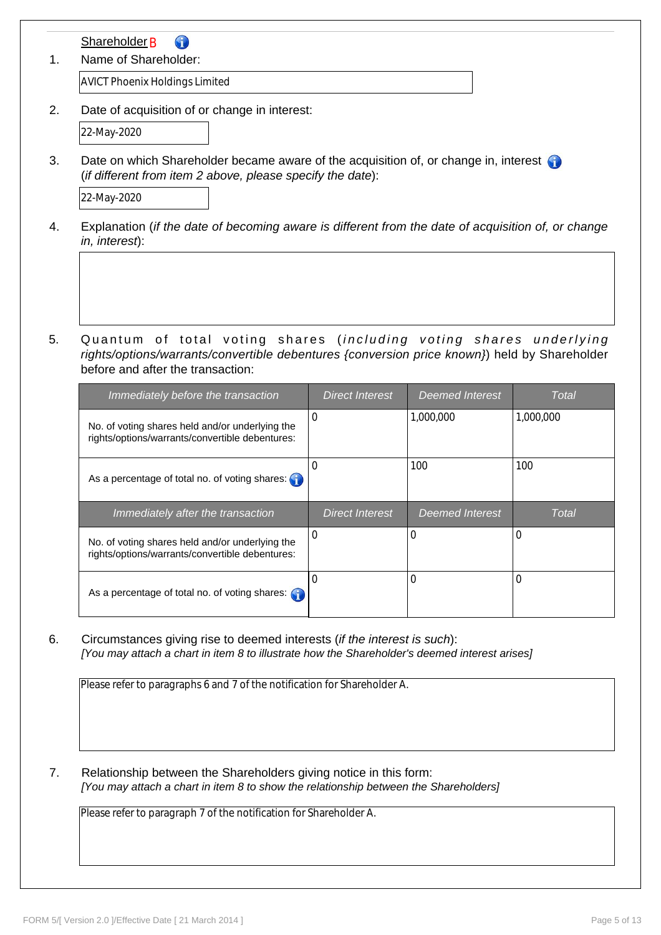| Name of Shareholder:                                                                                                                                                                                    |                        |                        |              |
|---------------------------------------------------------------------------------------------------------------------------------------------------------------------------------------------------------|------------------------|------------------------|--------------|
| <b>AVICT Phoenix Holdings Limited</b>                                                                                                                                                                   |                        |                        |              |
| Date of acquisition of or change in interest:                                                                                                                                                           |                        |                        |              |
| 22-May-2020                                                                                                                                                                                             |                        |                        |              |
| Date on which Shareholder became aware of the acquisition of, or change in, interest<br>(if different from item 2 above, please specify the date):                                                      |                        |                        |              |
| 22-May-2020                                                                                                                                                                                             |                        |                        |              |
| Explanation (if the date of becoming aware is different from the date of acquisition of, or change<br>in, interest):                                                                                    |                        |                        |              |
| Quantum of total voting shares (including voting shares underlying<br>rights/options/warrants/convertible debentures {conversion price known}) held by Shareholder<br>before and after the transaction: |                        |                        |              |
|                                                                                                                                                                                                         | <b>Direct Interest</b> | <b>Deemed Interest</b> | <b>Total</b> |
| Immediately before the transaction<br>No. of voting shares held and/or underlying the<br>rights/options/warrants/convertible debentures:                                                                | 0                      | 1,000,000              | 1,000,000    |
| As a percentage of total no. of voting shares:                                                                                                                                                          | $\boldsymbol{0}$       | 100                    | 100          |
| Immediately after the transaction                                                                                                                                                                       | <b>Direct Interest</b> | <b>Deemed Interest</b> | <b>Total</b> |
| No. of voting shares held and/or underlying the<br>rights/options/warrants/convertible debentures:                                                                                                      | 0                      | 0                      | 0            |

Please refer to paragraphs 6 and 7 of the notification for Shareholder A.

7. Relationship between the Shareholders giving notice in this form: *[You may attach a chart in item 8 to show the relationship between the Shareholders]*

Please refer to paragraph 7 of the notification for Shareholder A.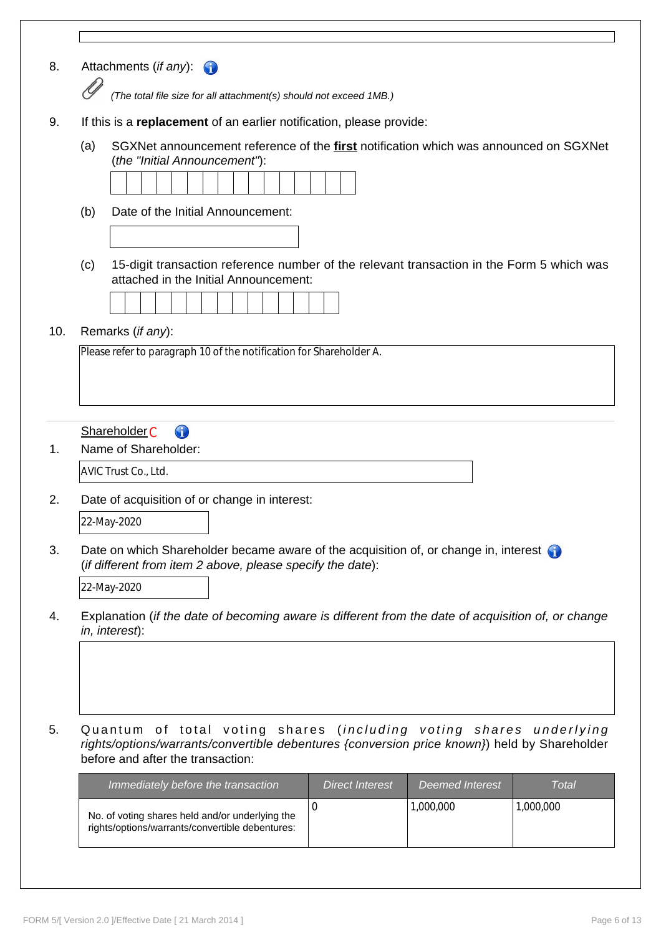| SGXNet announcement reference of the <b>first</b> notification which was announced on SGXNet                                                                                                                 |
|--------------------------------------------------------------------------------------------------------------------------------------------------------------------------------------------------------------|
|                                                                                                                                                                                                              |
|                                                                                                                                                                                                              |
|                                                                                                                                                                                                              |
|                                                                                                                                                                                                              |
|                                                                                                                                                                                                              |
|                                                                                                                                                                                                              |
| 15-digit transaction reference number of the relevant transaction in the Form 5 which was                                                                                                                    |
|                                                                                                                                                                                                              |
|                                                                                                                                                                                                              |
|                                                                                                                                                                                                              |
|                                                                                                                                                                                                              |
|                                                                                                                                                                                                              |
|                                                                                                                                                                                                              |
|                                                                                                                                                                                                              |
|                                                                                                                                                                                                              |
|                                                                                                                                                                                                              |
|                                                                                                                                                                                                              |
|                                                                                                                                                                                                              |
|                                                                                                                                                                                                              |
|                                                                                                                                                                                                              |
|                                                                                                                                                                                                              |
|                                                                                                                                                                                                              |
| Date on which Shareholder became aware of the acquisition of, or change in, interest                                                                                                                         |
|                                                                                                                                                                                                              |
|                                                                                                                                                                                                              |
| Explanation (if the date of becoming aware is different from the date of acquisition of, or change                                                                                                           |
|                                                                                                                                                                                                              |
|                                                                                                                                                                                                              |
|                                                                                                                                                                                                              |
|                                                                                                                                                                                                              |
|                                                                                                                                                                                                              |
|                                                                                                                                                                                                              |
|                                                                                                                                                                                                              |
| Quantum of total voting shares (including voting shares underlying<br>rights/options/warrants/convertible debentures {conversion price known}) held by Shareholder<br><b>Deemed Interest</b><br><b>Total</b> |
| 1,000,000                                                                                                                                                                                                    |
|                                                                                                                                                                                                              |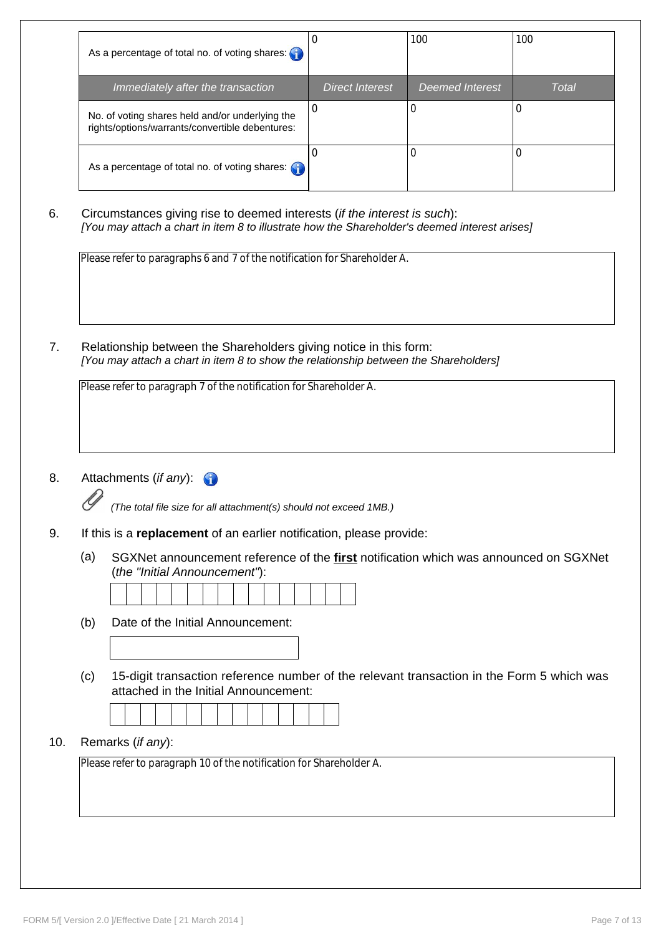|     | As a percentage of total no. of voting shares:                                                                                                                            | $\pmb{0}$              | 100                    | 100          |
|-----|---------------------------------------------------------------------------------------------------------------------------------------------------------------------------|------------------------|------------------------|--------------|
|     | Immediately after the transaction                                                                                                                                         | <b>Direct Interest</b> | <b>Deemed Interest</b> | <b>Total</b> |
|     | No. of voting shares held and/or underlying the<br>rights/options/warrants/convertible debentures:                                                                        | $\mathbf 0$            | 0                      | 0            |
|     | As a percentage of total no. of voting shares: G                                                                                                                          | $\mathbf 0$            | $\mathbf 0$            | 0            |
|     | Circumstances giving rise to deemed interests (if the interest is such):<br>[You may attach a chart in item 8 to illustrate how the Shareholder's deemed interest arises] |                        |                        |              |
|     |                                                                                                                                                                           |                        |                        |              |
|     |                                                                                                                                                                           |                        |                        |              |
|     | Please refer to paragraphs 6 and 7 of the notification for Shareholder A.                                                                                                 |                        |                        |              |
|     |                                                                                                                                                                           |                        |                        |              |
|     |                                                                                                                                                                           |                        |                        |              |
|     | Relationship between the Shareholders giving notice in this form:<br>[You may attach a chart in item 8 to show the relationship between the Shareholders]                 |                        |                        |              |
|     | Please refer to paragraph 7 of the notification for Shareholder A.                                                                                                        |                        |                        |              |
|     |                                                                                                                                                                           |                        |                        |              |
|     |                                                                                                                                                                           |                        |                        |              |
|     |                                                                                                                                                                           |                        |                        |              |
|     | Attachments (if any):                                                                                                                                                     |                        |                        |              |
|     | (The total file size for all attachment(s) should not exceed 1MB.)                                                                                                        |                        |                        |              |
|     | If this is a replacement of an earlier notification, please provide:                                                                                                      |                        |                        |              |
| (a) | SGXNet announcement reference of the <b>first</b> notification which was announced on SGXNet<br>(the "Initial Announcement"):                                             |                        |                        |              |

attached in the Initial Announcement:

# 10. Remarks (*if any*):

Please refer to paragraph 10 of the notification for Shareholder A.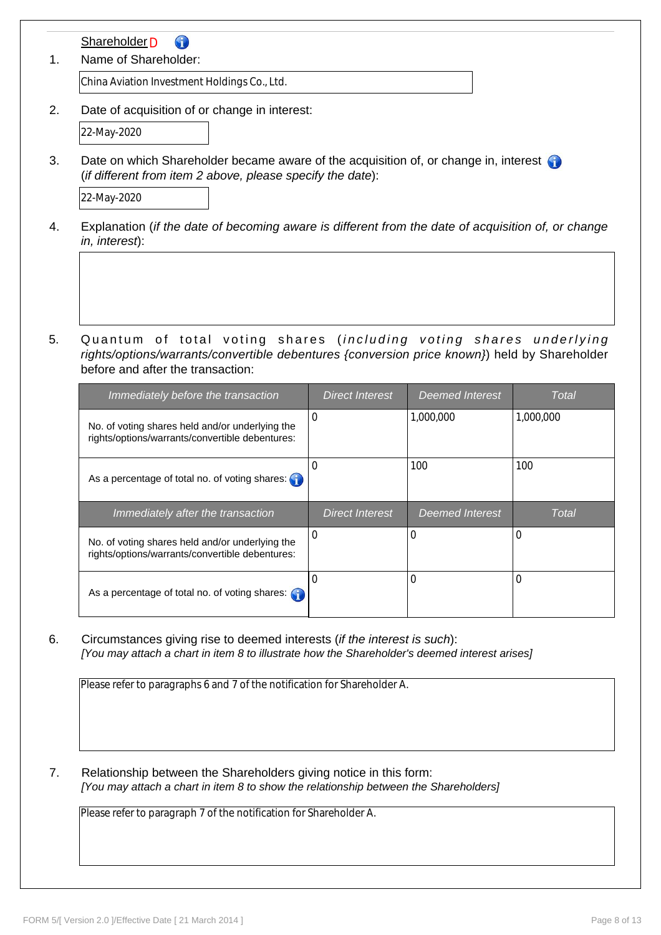| Name of Shareholder:                                                                                                                               |                        |                        |              |
|----------------------------------------------------------------------------------------------------------------------------------------------------|------------------------|------------------------|--------------|
| China Aviation Investment Holdings Co., Ltd.                                                                                                       |                        |                        |              |
| Date of acquisition of or change in interest:                                                                                                      |                        |                        |              |
| 22-May-2020                                                                                                                                        |                        |                        |              |
| Date on which Shareholder became aware of the acquisition of, or change in, interest<br>(if different from item 2 above, please specify the date): |                        |                        |              |
| 22-May-2020                                                                                                                                        |                        |                        |              |
| Explanation (if the date of becoming aware is different from the date of acquisition of, or change<br>in, interest):                               |                        |                        |              |
| Quantum of total voting shares (including voting shares underlying                                                                                 |                        |                        |              |
| rights/options/warrants/convertible debentures {conversion price known}) held by Shareholder<br>before and after the transaction:                  |                        |                        |              |
| Immediately before the transaction                                                                                                                 | <b>Direct Interest</b> | <b>Deemed Interest</b> | <b>Total</b> |
| No. of voting shares held and/or underlying the<br>rights/options/warrants/convertible debentures:                                                 | $\mathbf 0$            | 1,000,000              | 1,000,000    |
| As a percentage of total no. of voting shares:                                                                                                     | $\mathbf 0$            | 100                    | 100          |
| Immediately after the transaction                                                                                                                  | <b>Direct Interest</b> | <b>Deemed Interest</b> | Total        |
| No. of voting shares held and/or underlying the<br>rights/options/warrants/convertible debentures:                                                 | 0                      | 0                      | 0            |

Please refer to paragraphs 6 and 7 of the notification for Shareholder A.

7. Relationship between the Shareholders giving notice in this form: *[You may attach a chart in item 8 to show the relationship between the Shareholders]*

Please refer to paragraph 7 of the notification for Shareholder A.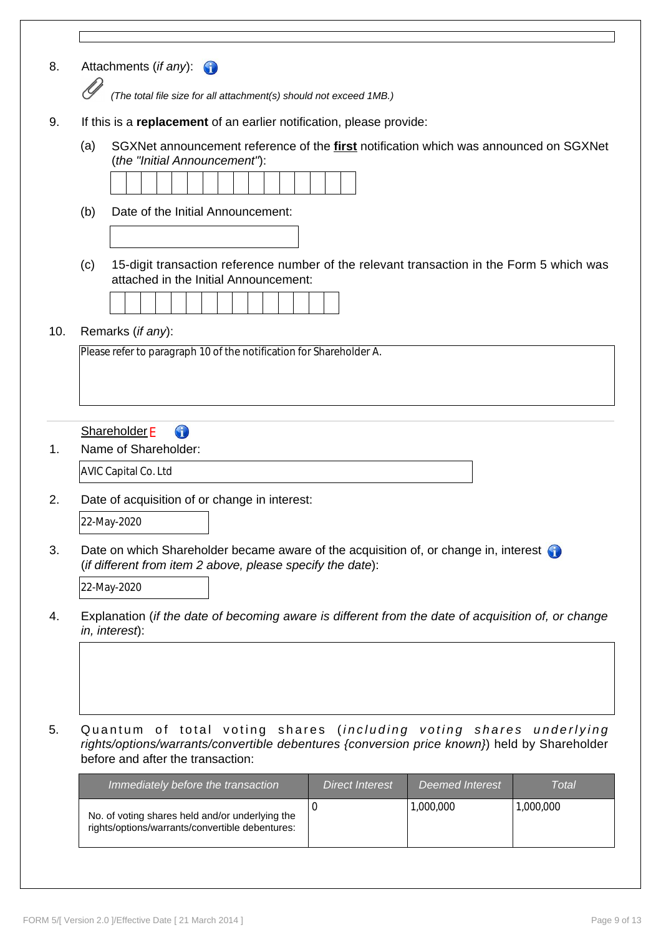| 8.<br>Attachments (if any):<br>(The total file size for all attachment(s) should not exceed 1MB.)<br>9.<br>If this is a replacement of an earlier notification, please provide:<br>(a)<br>SGXNet announcement reference of the <b>first</b> notification which was announced on SGXNet<br>(the "Initial Announcement"):<br>Date of the Initial Announcement:<br>(b)<br>15-digit transaction reference number of the relevant transaction in the Form 5 which was<br>(c)<br>attached in the Initial Announcement:<br>Remarks (if any):<br>Please refer to paragraph 10 of the notification for Shareholder A.<br><b>Shareholder E</b><br>6<br>Name of Shareholder:<br><b>AVIC Capital Co. Ltd</b><br>Date of acquisition of or change in interest:<br>22-May-2020<br>Date on which Shareholder became aware of the acquisition of, or change in, interest<br>(if different from item 2 above, please specify the date):<br>22-May-2020<br>Explanation (if the date of becoming aware is different from the date of acquisition of, or change<br>in, interest):<br>Quantum of total voting shares (including voting shares underlying<br>rights/options/warrants/convertible debentures {conversion price known}) held by Shareholder<br>before and after the transaction:<br><b>Direct Interest</b><br><b>Deemed Interest</b><br>Immediately before the transaction<br>1,000,000<br>$\mathbf 0$<br>1,000,000 |              |
|-------------------------------------------------------------------------------------------------------------------------------------------------------------------------------------------------------------------------------------------------------------------------------------------------------------------------------------------------------------------------------------------------------------------------------------------------------------------------------------------------------------------------------------------------------------------------------------------------------------------------------------------------------------------------------------------------------------------------------------------------------------------------------------------------------------------------------------------------------------------------------------------------------------------------------------------------------------------------------------------------------------------------------------------------------------------------------------------------------------------------------------------------------------------------------------------------------------------------------------------------------------------------------------------------------------------------------------------------------------------------------------------------------------|--------------|
|                                                                                                                                                                                                                                                                                                                                                                                                                                                                                                                                                                                                                                                                                                                                                                                                                                                                                                                                                                                                                                                                                                                                                                                                                                                                                                                                                                                                             |              |
|                                                                                                                                                                                                                                                                                                                                                                                                                                                                                                                                                                                                                                                                                                                                                                                                                                                                                                                                                                                                                                                                                                                                                                                                                                                                                                                                                                                                             |              |
|                                                                                                                                                                                                                                                                                                                                                                                                                                                                                                                                                                                                                                                                                                                                                                                                                                                                                                                                                                                                                                                                                                                                                                                                                                                                                                                                                                                                             |              |
| 10.<br>1.<br>2.<br>3.<br>4.<br>5.                                                                                                                                                                                                                                                                                                                                                                                                                                                                                                                                                                                                                                                                                                                                                                                                                                                                                                                                                                                                                                                                                                                                                                                                                                                                                                                                                                           |              |
|                                                                                                                                                                                                                                                                                                                                                                                                                                                                                                                                                                                                                                                                                                                                                                                                                                                                                                                                                                                                                                                                                                                                                                                                                                                                                                                                                                                                             |              |
|                                                                                                                                                                                                                                                                                                                                                                                                                                                                                                                                                                                                                                                                                                                                                                                                                                                                                                                                                                                                                                                                                                                                                                                                                                                                                                                                                                                                             |              |
|                                                                                                                                                                                                                                                                                                                                                                                                                                                                                                                                                                                                                                                                                                                                                                                                                                                                                                                                                                                                                                                                                                                                                                                                                                                                                                                                                                                                             |              |
|                                                                                                                                                                                                                                                                                                                                                                                                                                                                                                                                                                                                                                                                                                                                                                                                                                                                                                                                                                                                                                                                                                                                                                                                                                                                                                                                                                                                             |              |
|                                                                                                                                                                                                                                                                                                                                                                                                                                                                                                                                                                                                                                                                                                                                                                                                                                                                                                                                                                                                                                                                                                                                                                                                                                                                                                                                                                                                             |              |
|                                                                                                                                                                                                                                                                                                                                                                                                                                                                                                                                                                                                                                                                                                                                                                                                                                                                                                                                                                                                                                                                                                                                                                                                                                                                                                                                                                                                             |              |
|                                                                                                                                                                                                                                                                                                                                                                                                                                                                                                                                                                                                                                                                                                                                                                                                                                                                                                                                                                                                                                                                                                                                                                                                                                                                                                                                                                                                             |              |
|                                                                                                                                                                                                                                                                                                                                                                                                                                                                                                                                                                                                                                                                                                                                                                                                                                                                                                                                                                                                                                                                                                                                                                                                                                                                                                                                                                                                             |              |
|                                                                                                                                                                                                                                                                                                                                                                                                                                                                                                                                                                                                                                                                                                                                                                                                                                                                                                                                                                                                                                                                                                                                                                                                                                                                                                                                                                                                             |              |
|                                                                                                                                                                                                                                                                                                                                                                                                                                                                                                                                                                                                                                                                                                                                                                                                                                                                                                                                                                                                                                                                                                                                                                                                                                                                                                                                                                                                             |              |
|                                                                                                                                                                                                                                                                                                                                                                                                                                                                                                                                                                                                                                                                                                                                                                                                                                                                                                                                                                                                                                                                                                                                                                                                                                                                                                                                                                                                             |              |
|                                                                                                                                                                                                                                                                                                                                                                                                                                                                                                                                                                                                                                                                                                                                                                                                                                                                                                                                                                                                                                                                                                                                                                                                                                                                                                                                                                                                             |              |
|                                                                                                                                                                                                                                                                                                                                                                                                                                                                                                                                                                                                                                                                                                                                                                                                                                                                                                                                                                                                                                                                                                                                                                                                                                                                                                                                                                                                             |              |
|                                                                                                                                                                                                                                                                                                                                                                                                                                                                                                                                                                                                                                                                                                                                                                                                                                                                                                                                                                                                                                                                                                                                                                                                                                                                                                                                                                                                             |              |
|                                                                                                                                                                                                                                                                                                                                                                                                                                                                                                                                                                                                                                                                                                                                                                                                                                                                                                                                                                                                                                                                                                                                                                                                                                                                                                                                                                                                             |              |
|                                                                                                                                                                                                                                                                                                                                                                                                                                                                                                                                                                                                                                                                                                                                                                                                                                                                                                                                                                                                                                                                                                                                                                                                                                                                                                                                                                                                             |              |
|                                                                                                                                                                                                                                                                                                                                                                                                                                                                                                                                                                                                                                                                                                                                                                                                                                                                                                                                                                                                                                                                                                                                                                                                                                                                                                                                                                                                             |              |
|                                                                                                                                                                                                                                                                                                                                                                                                                                                                                                                                                                                                                                                                                                                                                                                                                                                                                                                                                                                                                                                                                                                                                                                                                                                                                                                                                                                                             |              |
|                                                                                                                                                                                                                                                                                                                                                                                                                                                                                                                                                                                                                                                                                                                                                                                                                                                                                                                                                                                                                                                                                                                                                                                                                                                                                                                                                                                                             |              |
|                                                                                                                                                                                                                                                                                                                                                                                                                                                                                                                                                                                                                                                                                                                                                                                                                                                                                                                                                                                                                                                                                                                                                                                                                                                                                                                                                                                                             |              |
|                                                                                                                                                                                                                                                                                                                                                                                                                                                                                                                                                                                                                                                                                                                                                                                                                                                                                                                                                                                                                                                                                                                                                                                                                                                                                                                                                                                                             |              |
|                                                                                                                                                                                                                                                                                                                                                                                                                                                                                                                                                                                                                                                                                                                                                                                                                                                                                                                                                                                                                                                                                                                                                                                                                                                                                                                                                                                                             |              |
|                                                                                                                                                                                                                                                                                                                                                                                                                                                                                                                                                                                                                                                                                                                                                                                                                                                                                                                                                                                                                                                                                                                                                                                                                                                                                                                                                                                                             | <b>Total</b> |
| No. of voting shares held and/or underlying the<br>rights/options/warrants/convertible debentures:                                                                                                                                                                                                                                                                                                                                                                                                                                                                                                                                                                                                                                                                                                                                                                                                                                                                                                                                                                                                                                                                                                                                                                                                                                                                                                          |              |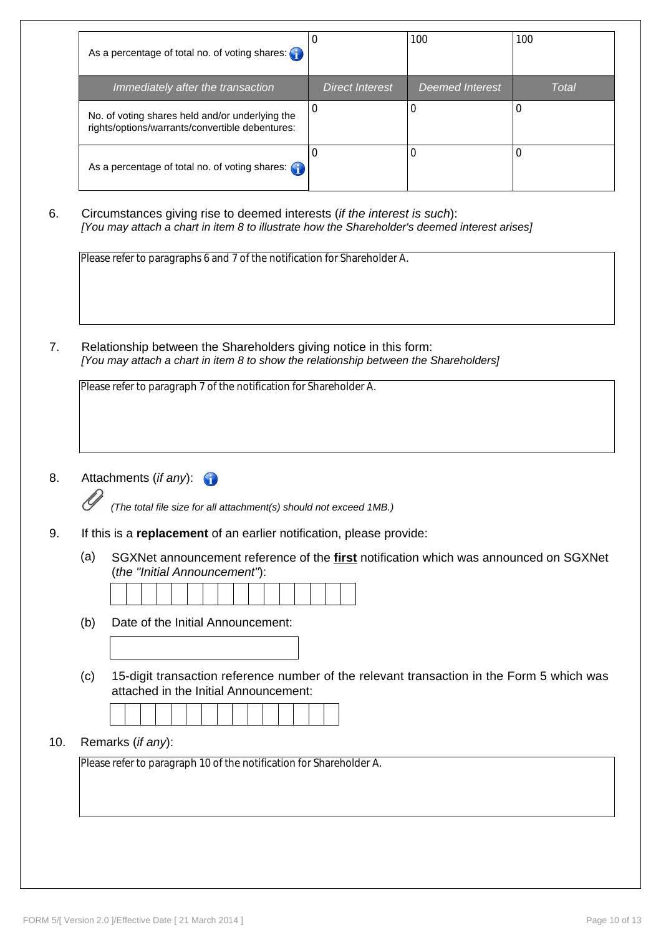|     | As a percentage of total no. of voting shares:                                                                                                                            | $\pmb{0}$              | 100                    | 100          |
|-----|---------------------------------------------------------------------------------------------------------------------------------------------------------------------------|------------------------|------------------------|--------------|
|     | Immediately after the transaction                                                                                                                                         | <b>Direct Interest</b> | <b>Deemed Interest</b> | <b>Total</b> |
|     | No. of voting shares held and/or underlying the<br>rights/options/warrants/convertible debentures:                                                                        | $\mathbf 0$            | 0                      | 0            |
|     | As a percentage of total no. of voting shares: G                                                                                                                          | $\mathbf 0$            | $\mathbf 0$            | 0            |
|     | Circumstances giving rise to deemed interests (if the interest is such):<br>[You may attach a chart in item 8 to illustrate how the Shareholder's deemed interest arises] |                        |                        |              |
|     |                                                                                                                                                                           |                        |                        |              |
|     | Please refer to paragraphs 6 and 7 of the notification for Shareholder A.                                                                                                 |                        |                        |              |
|     |                                                                                                                                                                           |                        |                        |              |
|     |                                                                                                                                                                           |                        |                        |              |
|     |                                                                                                                                                                           |                        |                        |              |
|     | Relationship between the Shareholders giving notice in this form:<br>[You may attach a chart in item 8 to show the relationship between the Shareholders]                 |                        |                        |              |
|     | Please refer to paragraph 7 of the notification for Shareholder A.                                                                                                        |                        |                        |              |
|     |                                                                                                                                                                           |                        |                        |              |
|     |                                                                                                                                                                           |                        |                        |              |
|     |                                                                                                                                                                           |                        |                        |              |
|     | Attachments (if any):                                                                                                                                                     |                        |                        |              |
|     | (The total file size for all attachment(s) should not exceed 1MB.)                                                                                                        |                        |                        |              |
|     | If this is a replacement of an earlier notification, please provide:                                                                                                      |                        |                        |              |
| (a) | SGXNet announcement reference of the <b>first</b> notification which was announced on SGXNet<br>(the "Initial Announcement"):                                             |                        |                        |              |

attached in the Initial Announcement:

10. Remarks (*if any*):

Please refer to paragraph 10 of the notification for Shareholder A.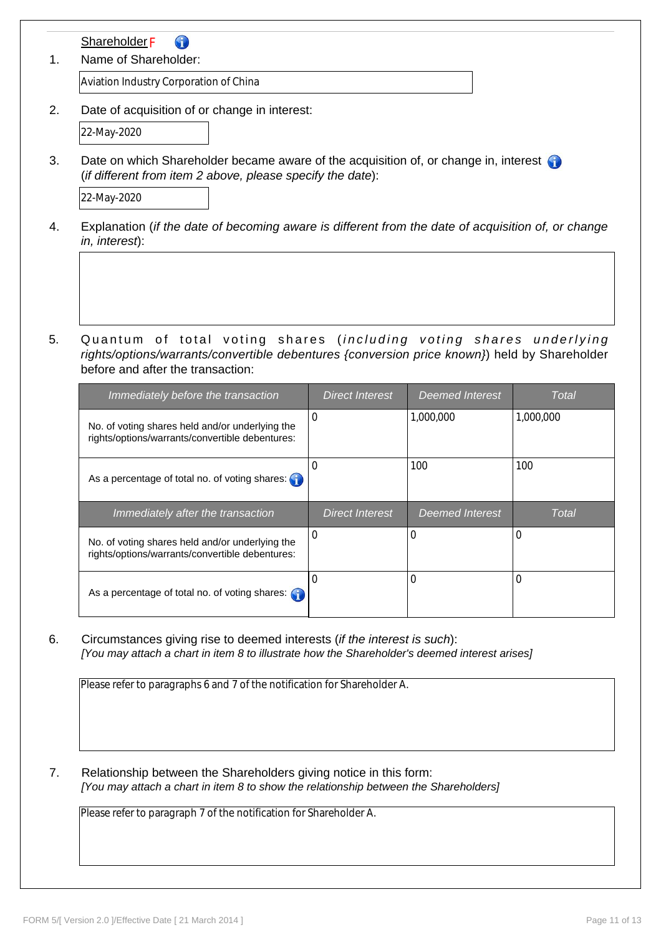| Name of Shareholder:                                                                                                                               |                                                                                                                                   |                        |                        |              |  |
|----------------------------------------------------------------------------------------------------------------------------------------------------|-----------------------------------------------------------------------------------------------------------------------------------|------------------------|------------------------|--------------|--|
| Aviation Industry Corporation of China                                                                                                             |                                                                                                                                   |                        |                        |              |  |
| Date of acquisition of or change in interest:                                                                                                      |                                                                                                                                   |                        |                        |              |  |
|                                                                                                                                                    | 22-May-2020                                                                                                                       |                        |                        |              |  |
| Date on which Shareholder became aware of the acquisition of, or change in, interest<br>(if different from item 2 above, please specify the date): |                                                                                                                                   |                        |                        |              |  |
|                                                                                                                                                    | 22-May-2020                                                                                                                       |                        |                        |              |  |
|                                                                                                                                                    | Explanation (if the date of becoming aware is different from the date of acquisition of, or change<br>in, interest):              |                        |                        |              |  |
|                                                                                                                                                    | Quantum of total voting shares (including voting shares underlying                                                                |                        |                        |              |  |
|                                                                                                                                                    | rights/options/warrants/convertible debentures {conversion price known}) held by Shareholder<br>before and after the transaction: |                        |                        |              |  |
|                                                                                                                                                    | Immediately before the transaction                                                                                                | <b>Direct Interest</b> | <b>Deemed Interest</b> | <b>Total</b> |  |
|                                                                                                                                                    | No. of voting shares held and/or underlying the<br>rights/options/warrants/convertible debentures:                                | 0                      | 1,000,000              | 1,000,000    |  |
|                                                                                                                                                    | As a percentage of total no. of voting shares:                                                                                    | 0                      | 100                    | 100          |  |
|                                                                                                                                                    | Immediately after the transaction                                                                                                 | <b>Direct Interest</b> | <b>Deemed Interest</b> | <b>Total</b> |  |
|                                                                                                                                                    | No. of voting shares held and/or underlying the<br>rights/options/warrants/convertible debentures:                                | $\mathbf 0$            | 0                      | $\Omega$     |  |

Please refer to paragraphs 6 and 7 of the notification for Shareholder A.

7. Relationship between the Shareholders giving notice in this form: *[You may attach a chart in item 8 to show the relationship between the Shareholders]*

Please refer to paragraph 7 of the notification for Shareholder A.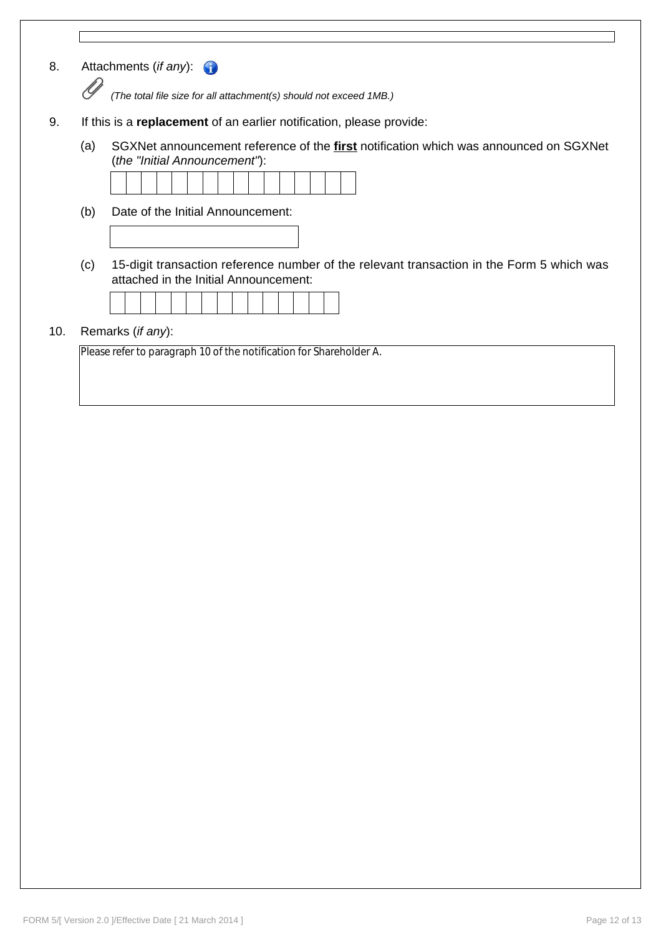| 8.  | Attachments (if any): $\bigcirc$                                     |                                                                                                                                    |  |  |  |
|-----|----------------------------------------------------------------------|------------------------------------------------------------------------------------------------------------------------------------|--|--|--|
|     |                                                                      | (The total file size for all attachment(s) should not exceed 1MB.)                                                                 |  |  |  |
| 9.  | If this is a replacement of an earlier notification, please provide: |                                                                                                                                    |  |  |  |
|     | (a)                                                                  | SGXNet announcement reference of the first notification which was announced on SGXNet<br>(the "Initial Announcement"):             |  |  |  |
|     |                                                                      |                                                                                                                                    |  |  |  |
|     | (b)                                                                  | Date of the Initial Announcement:                                                                                                  |  |  |  |
|     |                                                                      |                                                                                                                                    |  |  |  |
|     | (c)                                                                  | 15-digit transaction reference number of the relevant transaction in the Form 5 which was<br>attached in the Initial Announcement: |  |  |  |
|     |                                                                      |                                                                                                                                    |  |  |  |
| 10. |                                                                      | Remarks ( <i>if any</i> ):                                                                                                         |  |  |  |
|     |                                                                      | Please refer to paragraph 10 of the notification for Shareholder A.                                                                |  |  |  |

 $\Gamma$ 

 $\overline{\phantom{a}}$